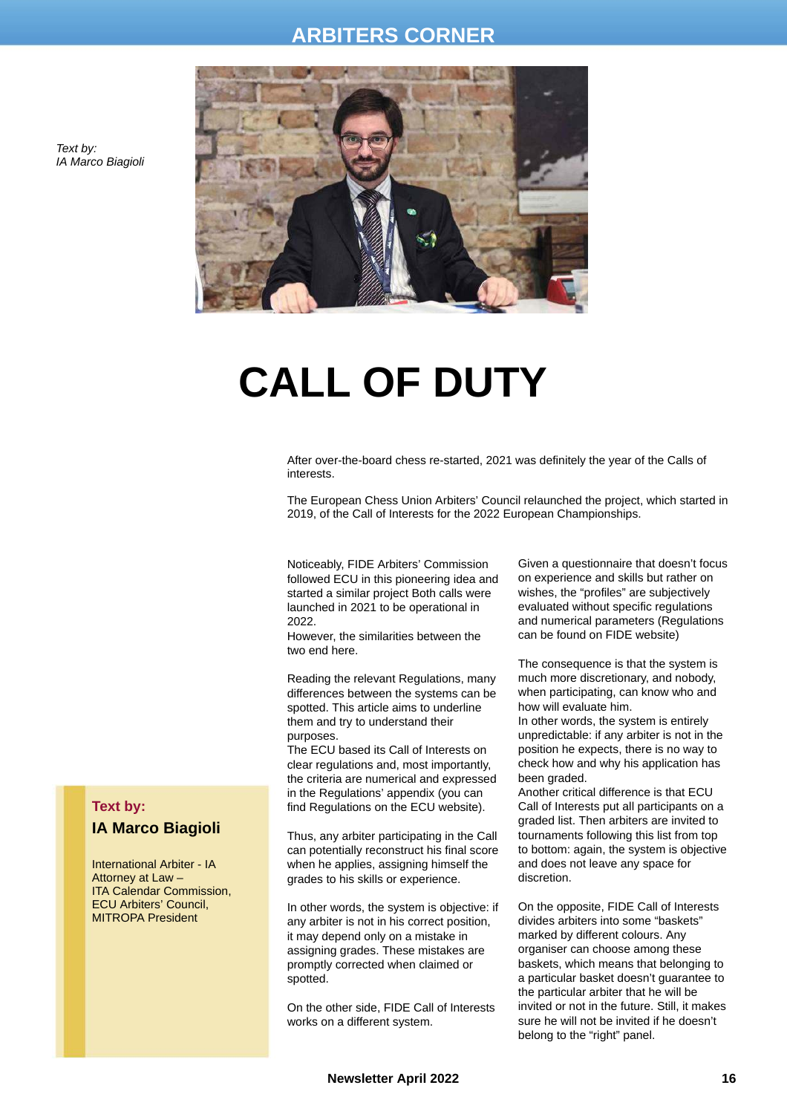### **ARBITERS CORNER**



**CALL OF DUTY**

After over-the-board chess re-started, 2021 was definitely the year of the Calls of interests.

The European Chess Union Arbiters' Council relaunched the project, which started in 2019, of the Call of Interests for the 2022 European Championships.

Noticeably, FIDE Arbiters' Commission followed ECU in this pioneering idea and started a similar project Both calls were launched in 2021 to be operational in 2022.

However, the similarities between the two end here.

Reading the relevant Regulations, many differences between the systems can be spotted. This article aims to underline them and try to understand their purposes.

The ECU based its Call of Interests on clear regulations and, most importantly, the criteria are numerical and expressed in the Regulations' appendix (you can find Regulations on the ECU website).

Thus, any arbiter participating in the Call can potentially reconstruct his final score when he applies, assigning himself the grades to his skills or experience.

In other words, the system is objective: if any arbiter is not in his correct position, it may depend only on a mistake in assigning grades. These mistakes are promptly corrected when claimed or spotted.

On the other side, FIDE Call of Interests works on a different system.

Given a questionnaire that doesn't focus on experience and skills but rather on wishes, the "profiles" are subjectively evaluated without specific regulations and numerical parameters (Regulations can be found on FIDE website)

The consequence is that the system is much more discretionary, and nobody, when participating, can know who and how will evaluate him.

In other words, the system is entirely unpredictable: if any arbiter is not in the position he expects, there is no way to check how and why his application has been graded.

Another critical difference is that ECU Call of Interests put all participants on a graded list. Then arbiters are invited to tournaments following this list from top to bottom: again, the system is objective and does not leave any space for discretion.

On the opposite, FIDE Call of Interests divides arbiters into some "baskets" marked by different colours. Any organiser can choose among these baskets, which means that belonging to a particular basket doesn't guarantee to the particular arbiter that he will be invited or not in the future. Still, it makes sure he will not be invited if he doesn't belong to the "right" panel.

#### *Text by: IA Marco Biagioli*

### **Text by:**

#### **IA Marco Biagioli**

International Arbiter - IA Attorney at Law – ITA Calendar Commission, ECU Arbiters' Council, MITROPA President